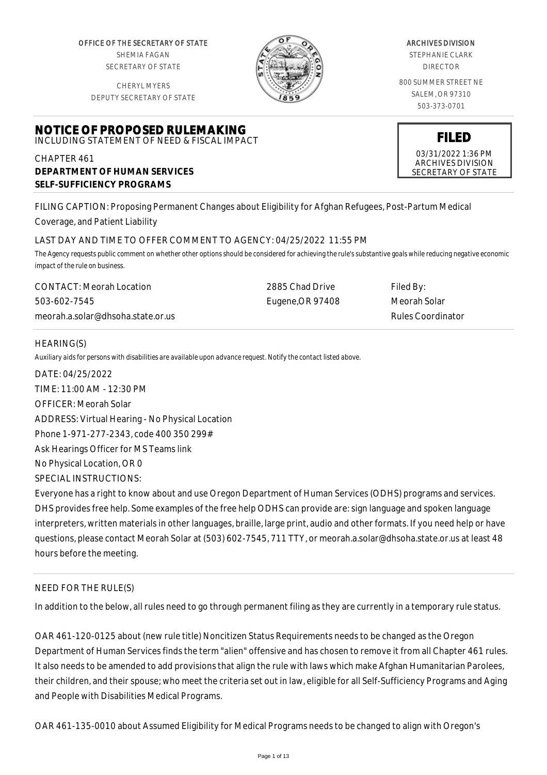OFFICE OF THE SECRETARY OF STATE SHEMIA FAGAN SECRETARY OF STATE

CHERYL MYERS DEPUTY SECRETARY OF STATE

**NOTICE OF PROPOSED RULEMAKING** INCLUDING STATEMENT OF NEED & FISCAL IMPACT

**DEPARTMENT OF HUMAN SERVICES**

**SELF-SUFFICIENCY PROGRAMS**



#### ARCHIVES DIVISION

STEPHANIE CLARK DIRECTOR

800 SUMMER STREET NE SALEM, OR 97310 503-373-0701

# **FILED**

03/31/2022 1:36 PM ARCHIVES DIVISION SECRETARY OF STATE

FILING CAPTION: Proposing Permanent Changes about Eligibility for Afghan Refugees, Post-Partum Medical Coverage, and Patient Liability

# LAST DAY AND TIME TO OFFER COMMENT TO AGENCY: 04/25/2022 11:55 PM

*The Agency requests public comment on whether other options should be considered for achieving the rule's substantive goals while reducing negative economic impact of the rule on business.*

| CONTACT: Meorah Location          | 2885 Chad Drive  | Filed By:         |
|-----------------------------------|------------------|-------------------|
| 503-602-7545                      | Eugene, OR 97408 | Meorah Solar      |
| meorah.a.solar@dhsoha.state.or.us |                  | Rules Coordinator |

# HEARING(S)

CHAPTER 461

*Auxiliary aids for persons with disabilities are available upon advance request. Notify the contact listed above.*

DATE: 04/25/2022 TIME: 11:00 AM - 12:30 PM OFFICER: Meorah Solar ADDRESS: Virtual Hearing - No Physical Location Phone 1-971-277-2343, code 400 350 299# Ask Hearings Officer for MS Teams link No Physical Location, OR 0 SPECIAL INSTRUCTIONS:

Everyone has a right to know about and use Oregon Department of Human Services (ODHS) programs and services. DHS provides free help. Some examples of the free help ODHS can provide are: sign language and spoken language interpreters, written materials in other languages, braille, large print, audio and other formats. If you need help or have questions, please contact Meorah Solar at (503) 602-7545, 711 TTY, or meorah.a.solar@dhsoha.state.or.us at least 48 hours before the meeting.

# NEED FOR THE RULE(S)

In addition to the below, all rules need to go through permanent filing as they are currently in a temporary rule status.

OAR 461-120-0125 about (new rule title) Noncitizen Status Requirements needs to be changed as the Oregon Department of Human Services finds the term "alien" offensive and has chosen to remove it from all Chapter 461 rules. It also needs to be amended to add provisions that align the rule with laws which make Afghan Humanitarian Parolees, their children, and their spouse; who meet the criteria set out in law, eligible for all Self-Sufficiency Programs and Aging and People with Disabilities Medical Programs.

OAR 461-135-0010 about Assumed Eligibility for Medical Programs needs to be changed to align with Oregon's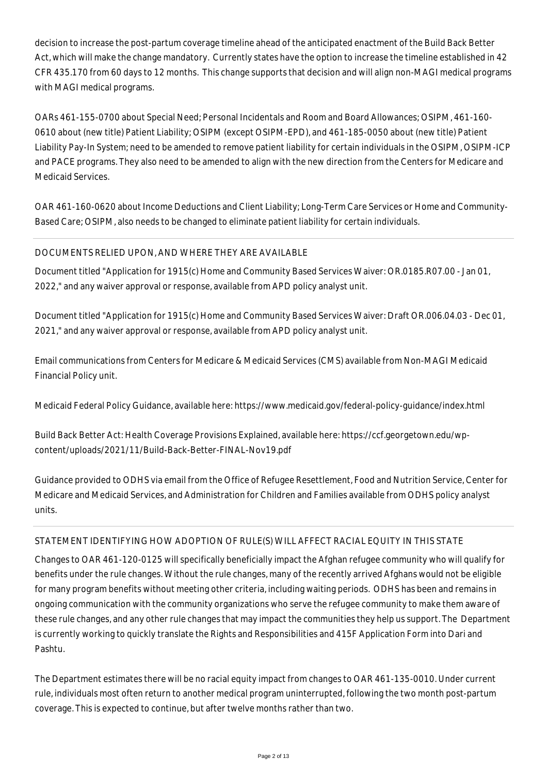decision to increase the post-partum coverage timeline ahead of the anticipated enactment of the Build Back Better Act, which will make the change mandatory. Currently states have the option to increase the timeline established in 42 CFR 435.170 from 60 days to 12 months. This change supports that decision and will align non-MAGI medical programs with MAGI medical programs.

OARs 461-155-0700 about Special Need; Personal Incidentals and Room and Board Allowances; OSIPM, 461-160- 0610 about (new title) Patient Liability; OSIPM (except OSIPM-EPD), and 461-185-0050 about (new title) Patient Liability Pay-In System; need to be amended to remove patient liability for certain individuals in the OSIPM, OSIPM-ICP and PACE programs. They also need to be amended to align with the new direction from the Centers for Medicare and Medicaid Services.

OAR 461-160-0620 about Income Deductions and Client Liability; Long-Term Care Services or Home and Community-Based Care; OSIPM, also needs to be changed to eliminate patient liability for certain individuals.

# DOCUMENTS RELIED UPON, AND WHERE THEY ARE AVAILABLE

Document titled "Application for 1915(c) Home and Community Based Services Waiver: OR.0185.R07.00 - Jan 01, 2022," and any waiver approval or response, available from APD policy analyst unit.

Document titled "Application for 1915(c) Home and Community Based Services Waiver: Draft OR.006.04.03 - Dec 01, 2021," and any waiver approval or response, available from APD policy analyst unit.

Email communications from Centers for Medicare & Medicaid Services (CMS) available from Non-MAGI Medicaid Financial Policy unit.

Medicaid Federal Policy Guidance, available here: https://www.medicaid.gov/federal-policy-guidance/index.html

Build Back Better Act: Health Coverage Provisions Explained, available here: https://ccf.georgetown.edu/wpcontent/uploads/2021/11/Build-Back-Better-FINAL-Nov19.pdf

Guidance provided to ODHS via email from the Office of Refugee Resettlement, Food and Nutrition Service, Center for Medicare and Medicaid Services, and Administration for Children and Families available from ODHS policy analyst units.

# STATEMENT IDENTIFYING HOW ADOPTION OF RULE(S) WILL AFFECT RACIAL EQUITY IN THIS STATE

Changes to OAR 461-120-0125 will specifically beneficially impact the Afghan refugee community who will qualify for benefits under the rule changes. Without the rule changes, many of the recently arrived Afghans would not be eligible for many program benefits without meeting other criteria, including waiting periods. ODHS has been and remains in ongoing communication with the community organizations who serve the refugee community to make them aware of these rule changes, and any other rule changes that may impact the communities they help us support. The Department is currently working to quickly translate the Rights and Responsibilities and 415F Application Form into Dari and Pashtu.

The Department estimates there will be no racial equity impact from changes to OAR 461-135-0010. Under current rule, individuals most often return to another medical program uninterrupted, following the two month post-partum coverage. This is expected to continue, but after twelve months rather than two.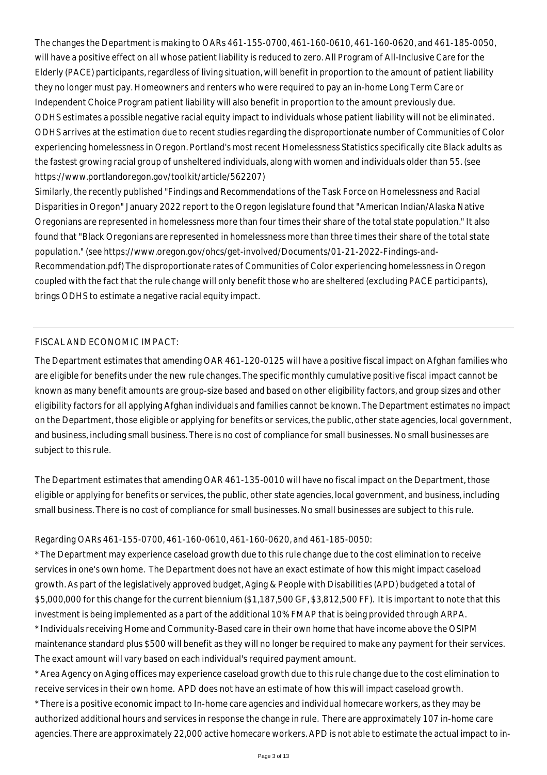The changes the Department is making to OARs 461-155-0700, 461-160-0610, 461-160-0620, and 461-185-0050, will have a positive effect on all whose patient liability is reduced to zero. All Program of All-Inclusive Care for the Elderly (PACE) participants, regardless of living situation, will benefit in proportion to the amount of patient liability they no longer must pay. Homeowners and renters who were required to pay an in-home Long Term Care or Independent Choice Program patient liability will also benefit in proportion to the amount previously due. ODHS estimates a possible negative racial equity impact to individuals whose patient liability will not be eliminated. ODHS arrives at the estimation due to recent studies regarding the disproportionate number of Communities of Color experiencing homelessness in Oregon. Portland's most recent Homelessness Statistics specifically cite Black adults as the fastest growing racial group of unsheltered individuals, along with women and individuals older than 55. (see https://www.portlandoregon.gov/toolkit/article/562207)

Similarly, the recently published "Findings and Recommendations of the Task Force on Homelessness and Racial Disparities in Oregon" January 2022 report to the Oregon legislature found that "American Indian/Alaska Native Oregonians are represented in homelessness more than four times their share of the total state population." It also found that "Black Oregonians are represented in homelessness more than three times their share of the total state population." (see https://www.oregon.gov/ohcs/get-involved/Documents/01-21-2022-Findings-and-Recommendation.pdf) The disproportionate rates of Communities of Color experiencing homelessness in Oregon coupled with the fact that the rule change will only benefit those who are sheltered (excluding PACE participants), brings ODHS to estimate a negative racial equity impact.

## FISCAL AND ECONOMIC IMPACT:

The Department estimates that amending OAR 461-120-0125 will have a positive fiscal impact on Afghan families who are eligible for benefits under the new rule changes. The specific monthly cumulative positive fiscal impact cannot be known as many benefit amounts are group-size based and based on other eligibility factors, and group sizes and other eligibility factors for all applying Afghan individuals and families cannot be known. The Department estimates no impact on the Department, those eligible or applying for benefits or services, the public, other state agencies, local government, and business, including small business. There is no cost of compliance for small businesses. No small businesses are subject to this rule.

The Department estimates that amending OAR 461-135-0010 will have no fiscal impact on the Department, those eligible or applying for benefits or services, the public, other state agencies, local government, and business, including small business. There is no cost of compliance for small businesses. No small businesses are subject to this rule.

#### Regarding OARs 461-155-0700, 461-160-0610, 461-160-0620, and 461-185-0050:

\* The Department may experience caseload growth due to this rule change due to the cost elimination to receive services in one's own home. The Department does not have an exact estimate of how this might impact caseload growth. As part of the legislatively approved budget, Aging & People with Disabilities (APD) budgeted a total of \$5,000,000 for this change for the current biennium (\$1,187,500 GF, \$3,812,500 FF). It is important to note that this investment is being implemented as a part of the additional 10% FMAP that is being provided through ARPA. \* Individuals receiving Home and Community-Based care in their own home that have income above the OSIPM maintenance standard plus \$500 will benefit as they will no longer be required to make any payment for their services. The exact amount will vary based on each individual's required payment amount.

\* Area Agency on Aging offices may experience caseload growth due to this rule change due to the cost elimination to receive services in their own home. APD does not have an estimate of how this will impact caseload growth.

\* There is a positive economic impact to In-home care agencies and individual homecare workers, as they may be authorized additional hours and services in response the change in rule. There are approximately 107 in-home care agencies. There are approximately 22,000 active homecare workers. APD is not able to estimate the actual impact to in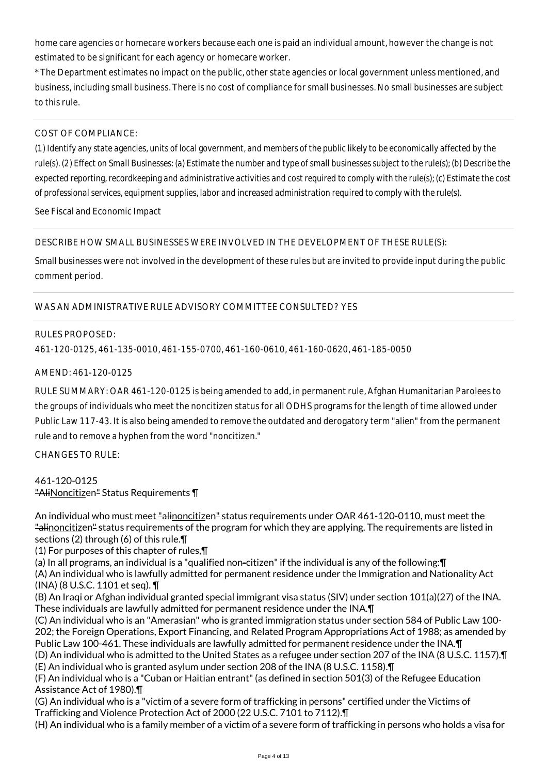home care agencies or homecare workers because each one is paid an individual amount, however the change is not estimated to be significant for each agency or homecare worker.

\* The Department estimates no impact on the public, other state agencies or local government unless mentioned, and business, including small business. There is no cost of compliance for small businesses. No small businesses are subject to this rule.

## COST OF COMPLIANCE:

*(1) Identify any state agencies, units of local government, and members of the public likely to be economically affected by the rule(s). (2) Effect on Small Businesses: (a) Estimate the number and type of small businesses subject to the rule(s); (b) Describe the expected reporting, recordkeeping and administrative activities and cost required to comply with the rule(s); (c) Estimate the cost of professional services, equipment supplies, labor and increased administration required to comply with the rule(s).*

See Fiscal and Economic Impact

DESCRIBE HOW SMALL BUSINESSES WERE INVOLVED IN THE DEVELOPMENT OF THESE RULE(S):

Small businesses were not involved in the development of these rules but are invited to provide input during the public comment period.

# WAS AN ADMINISTRATIVE RULE ADVISORY COMMITTEE CONSULTED? YES

#### RULES PROPOSED:

461-120-0125, 461-135-0010, 461-155-0700, 461-160-0610, 461-160-0620, 461-185-0050

## AMEND: 461-120-0125

RULE SUMMARY: OAR 461-120-0125 is being amended to add, in permanent rule, Afghan Humanitarian Parolees to the groups of individuals who meet the noncitizen status for all ODHS programs for the length of time allowed under Public Law 117-43. It is also being amended to remove the outdated and derogatory term "alien" from the permanent rule and to remove a hyphen from the word "noncitizen."

CHANGES TO RULE:

#### 461-120-0125 "AliNoncitizen" Status Requirements \[

An individual who must meet "alinoncitizen" status requirements under OAR 461-120-0110, must meet the "alinoncitizen" status requirements of the program for which they are applying. The requirements are listed in sections (2) through (6) of this rule.¶

(1) For purposes of this chapter of rules,¶

(a) In all programs, an individual is a "qualified non-citizen" if the individual is any of the following:¶ (A) An individual who is lawfully admitted for permanent residence under the Immigration and Nationality Act (INA) (8 U.S.C. 1101 et seq). ¶

(B) An Iraqi or Afghan individual granted special immigrant visa status (SIV) under section 101(a)(27) of the INA. These individuals are lawfully admitted for permanent residence under the INA.¶

(C) An individual who is an "Amerasian" who is granted immigration status under section 584 of Public Law 100- 202; the Foreign Operations, Export Financing, and Related Program Appropriations Act of 1988; as amended by Public Law 100-461. These individuals are lawfully admitted for permanent residence under the INA.¶

(D) An individual who is admitted to the United States as a refugee under section 207 of the INA (8 U.S.C. 1157).¶ (E) An individual who is granted asylum under section 208 of the INA (8 U.S.C. 1158).¶

(F) An individual who is a "Cuban or Haitian entrant" (as defined in section 501(3) of the Refugee Education Assistance Act of 1980).¶

(G) An individual who is a "victim of a severe form of trafficking in persons" certified under the Victims of Trafficking and Violence Protection Act of 2000 (22 U.S.C. 7101 to 7112).¶

(H) An individual who is a family member of a victim of a severe form of trafficking in persons who holds a visa for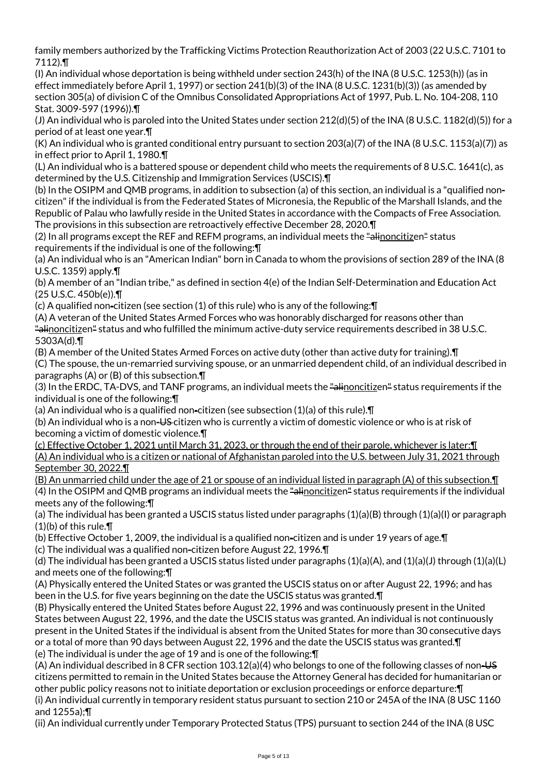family members authorized by the Trafficking Victims Protection Reauthorization Act of 2003 (22 U.S.C. 7101 to 7112).¶

(I) An individual whose deportation is being withheld under section 243(h) of the INA (8 U.S.C. 1253(h)) (as in effect immediately before April 1, 1997) or section 241(b)(3) of the INA (8 U.S.C. 1231(b)(3)) (as amended by section 305(a) of division C of the Omnibus Consolidated Appropriations Act of 1997, Pub. L. No. 104-208, 110 Stat. 3009-597 (1996)).¶

(J) An individual who is paroled into the United States under section 212(d)(5) of the INA (8 U.S.C. 1182(d)(5)) for a period of at least one year.¶

(K) An individual who is granted conditional entry pursuant to section 203(a)(7) of the INA (8 U.S.C. 1153(a)(7)) as in effect prior to April 1, 1980.¶

(L) An individual who is a battered spouse or dependent child who meets the requirements of 8 U.S.C. 1641(c), as determined by the U.S. Citizenship and Immigration Services (USCIS).¶

(b) In the OSIPM and QMB programs, in addition to subsection (a) of this section, an individual is a "qualified noncitizen" if the individual is from the Federated States of Micronesia, the Republic of the Marshall Islands, and the Republic of Palau who lawfully reside in the United States in accordance with the Compacts of Free Association. The provisions in this subsection are retroactively effective December 28, 2020.¶

(2) In all programs except the REF and REFM programs, an individual meets the "alinoncitizen" status requirements if the individual is one of the following:¶

(a) An individual who is an "American Indian" born in Canada to whom the provisions of section 289 of the INA (8 U.S.C. 1359) apply.¶

(b) A member of an "Indian tribe," as defined in section 4(e) of the Indian Self-Determination and Education Act (25 U.S.C. 450b(e)).¶

(c) A qualified non-citizen (see section (1) of this rule) who is any of the following:¶

(A) A veteran of the United States Armed Forces who was honorably discharged for reasons other than "alinoncitizen" status and who fulfilled the minimum active-duty service requirements described in 38 U.S.C. 5303A(d).¶

(B) A member of the United States Armed Forces on active duty (other than active duty for training).¶

(C) The spouse, the un-remarried surviving spouse, or an unmarried dependent child, of an individual described in paragraphs (A) or (B) of this subsection.¶

(3) In the ERDC, TA-DVS, and TANF programs, an individual meets the "alinoncitizen" status requirements if the individual is one of the following:¶

(a) An individual who is a qualified non-citizen (see subsection  $(1)(a)$  of this rule).  $\Pi$ 

(b) An individual who is a non-US citizen who is currently a victim of domestic violence or who is at risk of becoming a victim of domestic violence.¶

(c) Effective October 1, 2021 until March 31, 2023, or through the end of their parole, whichever is later:¶ (A) An individual who is a citizen or national of Afghanistan paroled into the U.S. between July 31, 2021 through September 30, 2022.¶

(B) An unmarried child under the age of 21 or spouse of an individual listed in paragraph (A) of this subsection.¶ (4) In the OSIPM and QMB programs an individual meets the "alinoncitizen" status requirements if the individual meets any of the following:¶

(a) The individual has been granted a USCIS status listed under paragraphs (1)(a)(B) through (1)(a)(I) or paragraph  $(1)(b)$  of this rule. $\P$ 

(b) Effective October 1, 2009, the individual is a qualified non-citizen and is under 19 years of age.¶

(c) The individual was a qualified non-citizen before August 22, 1996.¶

(d) The individual has been granted a USCIS status listed under paragraphs  $(1)(a)(A)$ , and  $(1)(a)(J)$  through  $(1)(a)(L)$ and meets one of the following:¶

(A) Physically entered the United States or was granted the USCIS status on or after August 22, 1996; and has been in the U.S. for five years beginning on the date the USCIS status was granted.¶

(B) Physically entered the United States before August 22, 1996 and was continuously present in the United States between August 22, 1996, and the date the USCIS status was granted. An individual is not continuously present in the United States if the individual is absent from the United States for more than 30 consecutive days or a total of more than 90 days between August 22, 1996 and the date the USCIS status was granted.¶ (e) The individual is under the age of 19 and is one of the following:¶

(A) An individual described in 8 CFR section 103.12(a)(4) who belongs to one of the following classes of non-US citizens permitted to remain in the United States because the Attorney General has decided for humanitarian or other public policy reasons not to initiate deportation or exclusion proceedings or enforce departure:¶ (i) An individual currently in temporary resident status pursuant to section 210 or 245A of the INA (8 USC 1160

and 1255a);¶ (ii) An individual currently under Temporary Protected Status (TPS) pursuant to section 244 of the INA (8 USC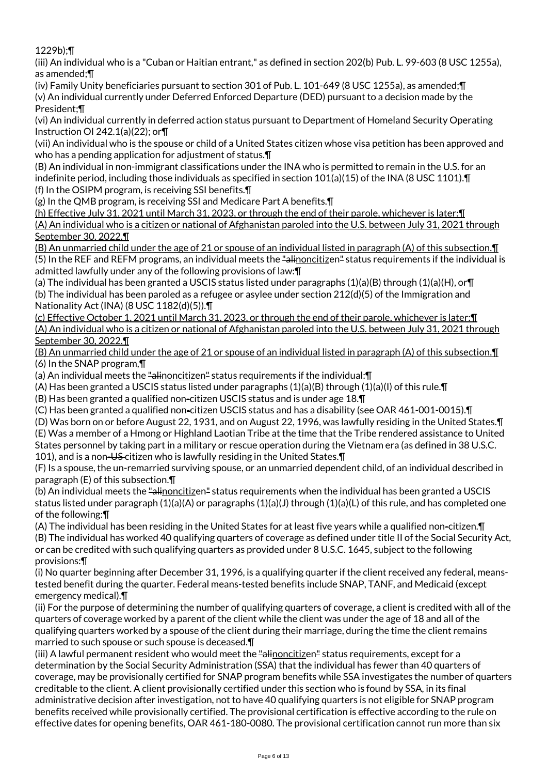1229b);¶

(iii) An individual who is a "Cuban or Haitian entrant," as defined in section 202(b) Pub. L. 99-603 (8 USC 1255a), as amended;¶

(iv) Family Unity beneficiaries pursuant to section 301 of Pub. L. 101-649 (8 USC 1255a), as amended;¶ (v) An individual currently under Deferred Enforced Departure (DED) pursuant to a decision made by the President;¶

(vi) An individual currently in deferred action status pursuant to Department of Homeland Security Operating Instruction OI 242.1(a)(22); or¶

(vii) An individual who is the spouse or child of a United States citizen whose visa petition has been approved and who has a pending application for adjustment of status.¶

(B) An individual in non-immigrant classifications under the INA who is permitted to remain in the U.S. for an indefinite period, including those individuals as specified in section 101(a)(15) of the INA (8 USC 1101).¶ (f) In the OSIPM program, is receiving SSI benefits.¶

(g) In the QMB program, is receiving SSI and Medicare Part A benefits.¶

(h) Effective July 31, 2021 until March 31, 2023, or through the end of their parole, whichever is later:¶ (A) An individual who is a citizen or national of Afghanistan paroled into the U.S. between July 31, 2021 through September 30, 2022.¶

(B) An unmarried child under the age of 21 or spouse of an individual listed in paragraph (A) of this subsection.¶ (5) In the REF and REFM programs, an individual meets the "alinoncitizen" status requirements if the individual is admitted lawfully under any of the following provisions of law:¶

(a) The individual has been granted a USCIS status listed under paragraphs (1)(a)(B) through (1)(a)(H), or¶ (b) The individual has been paroled as a refugee or asylee under section 212(d)(5) of the Immigration and Nationality Act (INA) (8 USC 1182(d)(5)).¶

(c) Effective October 1, 2021 until March 31, 2023, or through the end of their parole, whichever is later:¶ (A) An individual who is a citizen or national of Afghanistan paroled into the U.S. between July 31, 2021 through September 30, 2022.¶

(B) An unmarried child under the age of 21 or spouse of an individual listed in paragraph (A) of this subsection.¶ (6) In the SNAP program,¶

(a) An individual meets the "alinoncitizen" status requirements if the individual: []

(A) Has been granted a USCIS status listed under paragraphs  $(1)(a)(B)$  through  $(1)(a)(I)$  of this rule. If

(B) Has been granted a qualified non-citizen USCIS status and is under age 18.¶

(C) Has been granted a qualified non-citizen USCIS status and has a disability (see OAR 461-001-0015).¶

(D) Was born on or before August 22, 1931, and on August 22, 1996, was lawfully residing in the United States.¶

(E) Was a member of a Hmong or Highland Laotian Tribe at the time that the Tribe rendered assistance to United States personnel by taking part in a military or rescue operation during the Vietnam era (as defined in 38 U.S.C. 101), and is a non-US-citizen who is lawfully residing in the United States. [1]

(F) Is a spouse, the un-remarried surviving spouse, or an unmarried dependent child, of an individual described in paragraph (E) of this subsection.¶

(b) An individual meets the "alinoncitizen" status requirements when the individual has been granted a USCIS status listed under paragraph  $(1)(a)(A)$  or paragraphs  $(1)(a)(J)$  through  $(1)(a)(L)$  of this rule, and has completed one of the following:¶

(A) The individual has been residing in the United States for at least five years while a qualified non-citizen.¶ (B) The individual has worked 40 qualifying quarters of coverage as defined under title II of the Social Security Act, or can be credited with such qualifying quarters as provided under 8 U.S.C. 1645, subject to the following provisions:¶

(i) No quarter beginning after December 31, 1996, is a qualifying quarter if the client received any federal, meanstested benefit during the quarter. Federal means-tested benefits include SNAP, TANF, and Medicaid (except emergency medical).¶

(ii) For the purpose of determining the number of qualifying quarters of coverage, a client is credited with all of the quarters of coverage worked by a parent of the client while the client was under the age of 18 and all of the qualifying quarters worked by a spouse of the client during their marriage, during the time the client remains married to such spouse or such spouse is deceased.¶

(iii) A lawful permanent resident who would meet the "alinoncitizen" status requirements, except for a determination by the Social Security Administration (SSA) that the individual has fewer than 40 quarters of coverage, may be provisionally certified for SNAP program benefits while SSA investigates the number of quarters creditable to the client. A client provisionally certified under this section who is found by SSA, in its final administrative decision after investigation, not to have 40 qualifying quarters is not eligible for SNAP program benefits received while provisionally certified. The provisional certification is effective according to the rule on effective dates for opening benefits, OAR 461-180-0080. The provisional certification cannot run more than six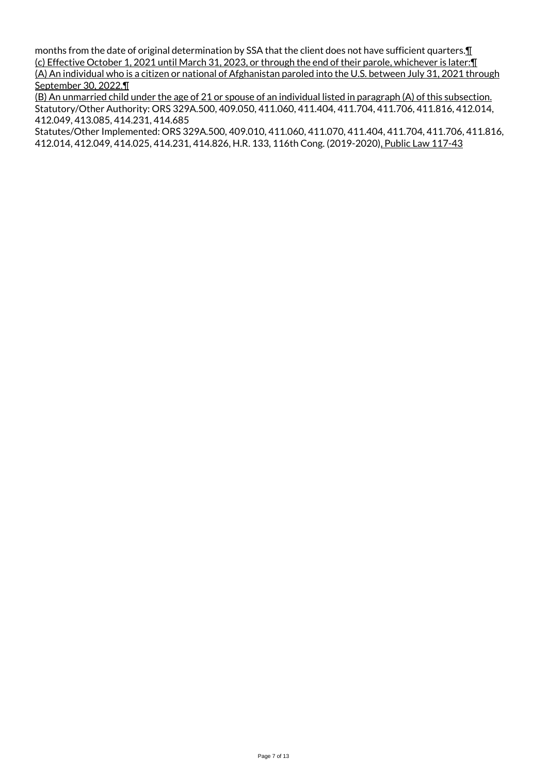months from the date of original determination by SSA that the client does not have sufficient quarters. I (c) Effective October 1, 2021 until March 31, 2023, or through the end of their parole, whichever is later:¶ (A) An individual who is a citizen or national of Afghanistan paroled into the U.S. between July 31, 2021 through September 30, 2022.¶

(B) An unmarried child under the age of 21 or spouse of an individual listed in paragraph (A) of this subsection. Statutory/Other Authority: ORS 329A.500, 409.050, 411.060, 411.404, 411.704, 411.706, 411.816, 412.014, 412.049, 413.085, 414.231, 414.685

Statutes/Other Implemented: ORS 329A.500, 409.010, 411.060, 411.070, 411.404, 411.704, 411.706, 411.816, 412.014, 412.049, 414.025, 414.231, 414.826, H.R. 133, 116th Cong. (2019-2020), Public Law 117-43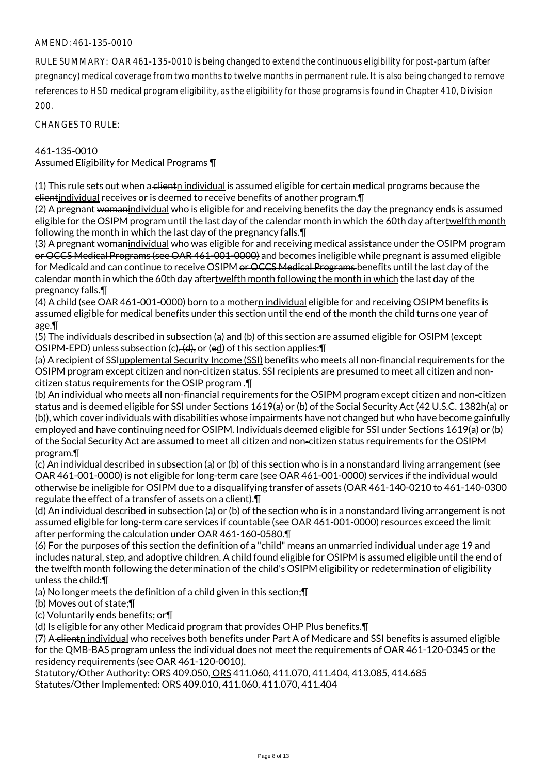## AMEND: 461-135-0010

RULE SUMMARY: OAR 461-135-0010 is being changed to extend the continuous eligibility for post-partum (after pregnancy) medical coverage from two months to twelve months in permanent rule. It is also being changed to remove references to HSD medical program eligibility, as the eligibility for those programs is found in Chapter 410, Division 200.

CHANGES TO RULE:

461-135-0010

Assumed Eligibility for Medical Programs ¶

(1) This rule sets out when a clientn individual is assumed eligible for certain medical programs because the clientindividual receives or is deemed to receive benefits of another program.¶

(2) A pregnant womanindividual who is eligible for and receiving benefits the day the pregnancy ends is assumed eligible for the OSIPM program until the last day of the calendar month in which the 60th day aftertwelfth month following the month in which the last day of the pregnancy falls.¶

(3) A pregnant womanindividual who was eligible for and receiving medical assistance under the OSIPM program or OCCS Medical Programs (see OAR 461-001-0000) and becomes ineligible while pregnant is assumed eligible for Medicaid and can continue to receive OSIPM or OCCS Medical Programs benefits until the last day of the calendar month in which the 60th day aftertwelfth month following the month in which the last day of the pregnancy falls.¶

(4) A child (see OAR 461-001-0000) born to a mothern individual eligible for and receiving OSIPM benefits is assumed eligible for medical benefits under this section until the end of the month the child turns one year of age.¶

(5) The individuals described in subsection (a) and (b) of this section are assumed eligible for OSIPM (except OSIPM-EPD) unless subsection (c)<del>, (d),</del> or (ed) of this section applies: **T** 

(a) A recipient of SSHupplemental Security Income (SSI) benefits who meets all non-financial requirements for the OSIPM program except citizen and non-citizen status. SSI recipients are presumed to meet all citizen and noncitizen status requirements for the OSIP program .¶

(b) An individual who meets all non-financial requirements for the OSIPM program except citizen and non-citizen status and is deemed eligible for SSI under Sections 1619(a) or (b) of the Social Security Act (42 U.S.C. 1382h(a) or (b)), which cover individuals with disabilities whose impairments have not changed but who have become gainfully employed and have continuing need for OSIPM. Individuals deemed eligible for SSI under Sections 1619(a) or (b) of the Social Security Act are assumed to meet all citizen and non-citizen status requirements for the OSIPM program.¶

(c) An individual described in subsection (a) or (b) of this section who is in a nonstandard living arrangement (see OAR 461-001-0000) is not eligible for long-term care (see OAR 461-001-0000) services if the individual would otherwise be ineligible for OSIPM due to a disqualifying transfer of assets (OAR 461-140-0210 to 461-140-0300 regulate the effect of a transfer of assets on a client).¶

(d) An individual described in subsection (a) or (b) of the section who is in a nonstandard living arrangement is not assumed eligible for long-term care services if countable (see OAR 461-001-0000) resources exceed the limit after performing the calculation under OAR 461-160-0580.¶

(6) For the purposes of this section the definition of a "child" means an unmarried individual under age 19 and includes natural, step, and adoptive children. A child found eligible for OSIPM is assumed eligible until the end of the twelfth month following the determination of the child's OSIPM eligibility or redetermination of eligibility unless the child:¶

(a) No longer meets the definition of a child given in this section;¶

(b) Moves out of state;¶

(c) Voluntarily ends benefits; or¶

(d) Is eligible for any other Medicaid program that provides OHP Plus benefits.¶

(7) A clientn individual who receives both benefits under Part A of Medicare and SSI benefits is assumed eligible for the QMB-BAS program unless the individual does not meet the requirements of OAR 461-120-0345 or the residency requirements (see OAR 461-120-0010).

Statutory/Other Authority: ORS 409.050, ORS 411.060, 411.070, 411.404, 413.085, 414.685 Statutes/Other Implemented: ORS 409.010, 411.060, 411.070, 411.404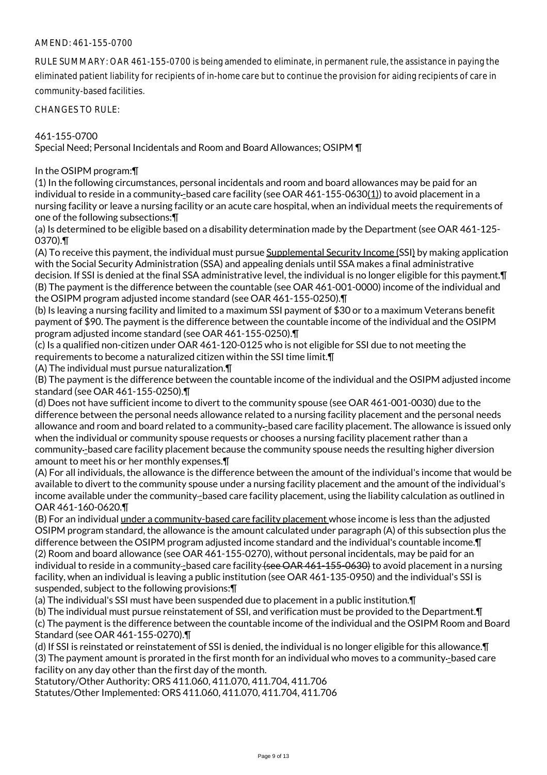## AMEND: 461-155-0700

RULE SUMMARY: OAR 461-155-0700 is being amended to eliminate, in permanent rule, the assistance in paying the eliminated patient liability for recipients of in-home care but to continue the provision for aiding recipients of care in community-based facilities.

CHANGES TO RULE:

#### 461-155-0700

Special Need; Personal Incidentals and Room and Board Allowances; OSIPM ¶

#### In the OSIPM program:¶

(1) In the following circumstances, personal incidentals and room and board allowances may be paid for an individual to reside in a community-based care facility (see OAR 461-155-0630(1)) to avoid placement in a nursing facility or leave a nursing facility or an acute care hospital, when an individual meets the requirements of one of the following subsections:¶

(a) Is determined to be eligible based on a disability determination made by the Department (see OAR 461-125- 0370).¶

(A) To receive this payment, the individual must pursue Supplemental Security Income (SSI) by making application with the Social Security Administration (SSA) and appealing denials until SSA makes a final administrative decision. If SSI is denied at the final SSA administrative level, the individual is no longer eligible for this payment.¶ (B) The payment is the difference between the countable (see OAR 461-001-0000) income of the individual and the OSIPM program adjusted income standard (see OAR 461-155-0250).¶

(b) Is leaving a nursing facility and limited to a maximum SSI payment of \$30 or to a maximum Veterans benefit payment of \$90. The payment is the difference between the countable income of the individual and the OSIPM program adjusted income standard (see OAR 461-155-0250).¶

(c) Is a qualified non-citizen under OAR 461-120-0125 who is not eligible for SSI due to not meeting the requirements to become a naturalized citizen within the SSI time limit.¶

(A) The individual must pursue naturalization.¶

(B) The payment is the difference between the countable income of the individual and the OSIPM adjusted income standard (see OAR 461-155-0250).¶

(d) Does not have sufficient income to divert to the community spouse (see OAR 461-001-0030) due to the difference between the personal needs allowance related to a nursing facility placement and the personal needs allowance and room and board related to a community-based care facility placement. The allowance is issued only when the individual or community spouse requests or chooses a nursing facility placement rather than a community -based care facility placement because the community spouse needs the resulting higher diversion amount to meet his or her monthly expenses.¶

(A) For all individuals, the allowance is the difference between the amount of the individual's income that would be available to divert to the community spouse under a nursing facility placement and the amount of the individual's income available under the community-based care facility placement, using the liability calculation as outlined in OAR 461-160-0620.¶

(B) For an individual under a community-based care facility placement whose income is less than the adjusted OSIPM program standard, the allowance is the amount calculated under paragraph (A) of this subsection plus the difference between the OSIPM program adjusted income standard and the individual's countable income.¶ (2) Room and board allowance (see OAR 461-155-0270), without personal incidentals, may be paid for an individual to reside in a community-based care facility (see OAR 461-155-0630) to avoid placement in a nursing facility, when an individual is leaving a public institution (see OAR 461-135-0950) and the individual's SSI is suspended, subject to the following provisions:¶

(a) The individual's SSI must have been suspended due to placement in a public institution.¶

(b) The individual must pursue reinstatement of SSI, and verification must be provided to the Department.¶ (c) The payment is the difference between the countable income of the individual and the OSIPM Room and Board Standard (see OAR 461-155-0270).¶

(d) If SSI is reinstated or reinstatement of SSI is denied, the individual is no longer eligible for this allowance.¶ (3) The payment amount is prorated in the first month for an individual who moves to a community -based care facility on any day other than the first day of the month.

Statutory/Other Authority: ORS 411.060, 411.070, 411.704, 411.706 Statutes/Other Implemented: ORS 411.060, 411.070, 411.704, 411.706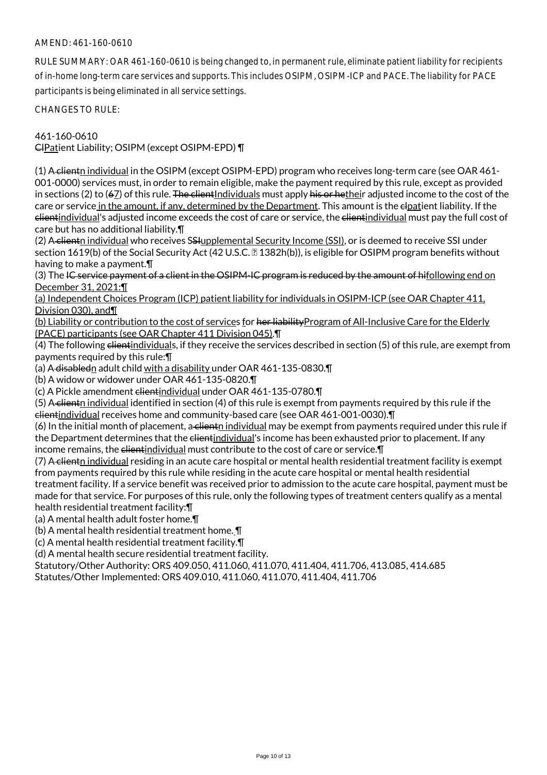## AMEND: 461-160-0610

RULE SUMMARY: OAR 461-160-0610 is being changed to, in permanent rule, eliminate patient liability for recipients of in-home long-term care services and supports. This includes OSIPM, OSIPM-ICP and PACE. The liability for PACE participants is being eliminated in all service settings.

CHANGES TO RULE:

461-160-0610

ClPatient Liability; OSIPM (except OSIPM-EPD) ¶

(1) A clientn individual in the OSIPM (except OSIPM-EPD) program who receives long-term care (see OAR 461-001-0000) services must, in order to remain eligible, make the payment required by this rule, except as provided in sections (2) to (67) of this rule. The client Individuals must apply his or hetheir adjusted income to the cost of the care or service in the amount, if any, determined by the Department. This amount is the elpatient liability. If the clientindividual's adjusted income exceeds the cost of care or service, the elientindividual must pay the full cost of care but has no additional liability.¶

(2) A-clientn individual who receives SSHupplemental Security Income (SSI), or is deemed to receive SSI under section 1619(b) of the Social Security Act (42 U.S.C. 1382h(b)), is eligible for OSIPM program benefits without having to make a payment.¶

(3) The IC service payment of a client in the OSIPM-IC program is reduced by the amount of hifollowing end on December 31, 2021:¶

(a) Independent Choices Program (ICP) patient liability for individuals in OSIPM-ICP (see OAR Chapter 411, Division 030), and¶

(b) Liability or contribution to the cost of services for her liabilityProgram of All-Inclusive Care for the Elderly (PACE) participants (see OAR Chapter 411 Division 045).¶

(4) The following elientindividuals, if they receive the services described in section (5) of this rule, are exempt from payments required by this rule:¶

(a) A disabledn adult child with a disability under OAR 461-135-0830.¶

(b) A widow or widower under OAR 461-135-0820.¶

(c) A Pickle amendment clientindividual under OAR 461-135-0780.¶

(5) A client individual identified in section (4) of this rule is exempt from payments required by this rule if the clientindividual receives home and community-based care (see OAR 461-001-0030).¶

 $(6)$  In the initial month of placement, a client individual may be exempt from payments required under this rule if the Department determines that the elientindividual's income has been exhausted prior to placement. If any income remains, the clientindividual must contribute to the cost of care or service.¶

(7) A clienth individual residing in an acute care hospital or mental health residential treatment facility is exempt from payments required by this rule while residing in the acute care hospital or mental health residential treatment facility. If a service benefit was received prior to admission to the acute care hospital, payment must be made for that service. For purposes of this rule, only the following types of treatment centers qualify as a mental health residential treatment facility:¶

(a) A mental health adult foster home.¶

(b) A mental health residential treatment home. ¶

(c) A mental health residential treatment facility.¶

(d) A mental health secure residential treatment facility.

Statutory/Other Authority: ORS 409.050, 411.060, 411.070, 411.404, 411.706, 413.085, 414.685 Statutes/Other Implemented: ORS 409.010, 411.060, 411.070, 411.404, 411.706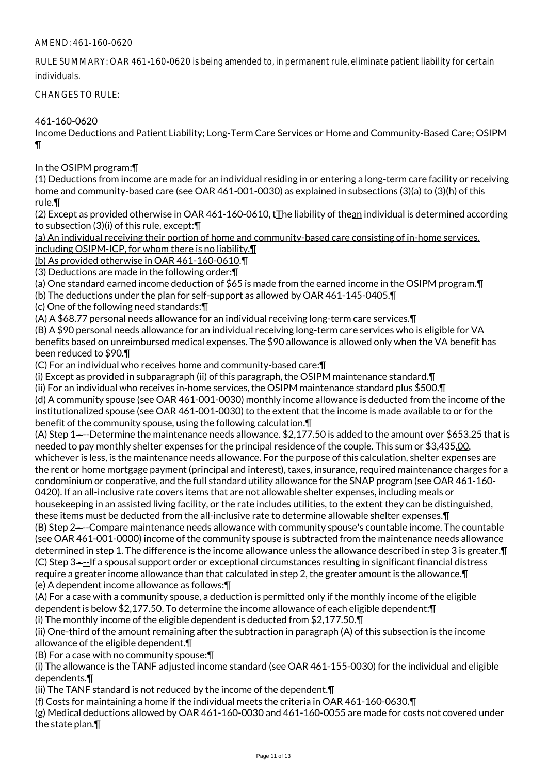## AMEND: 461-160-0620

RULE SUMMARY: OAR 461-160-0620 is being amended to, in permanent rule, eliminate patient liability for certain individuals.

CHANGES TO RULE:

461-160-0620

Income Deductions and Patient Liability; Long-Term Care Services or Home and Community-Based Care; OSIPM ¶

## In the OSIPM program:¶

(1) Deductions from income are made for an individual residing in or entering a long-term care facility or receiving home and community-based care (see OAR 461-001-0030) as explained in subsections (3)(a) to (3)(h) of this rule.¶

(2) Except as provided otherwise in OAR 461-160-0610,  $\pm$ The liability of thean individual is determined according to subsection (3)(i) of this rule, except: \[

(a) An individual receiving their portion of home and community-based care consisting of in-home services, including OSIPM-ICP, for whom there is no liability.¶

(b) As provided otherwise in OAR 461-160-0610.¶

(3) Deductions are made in the following order:¶

(a) One standard earned income deduction of \$65 is made from the earned income in the OSIPM program.¶

(b) The deductions under the plan for self-support as allowed by OAR 461-145-0405.¶

(c) One of the following need standards:¶

(A) A \$68.77 personal needs allowance for an individual receiving long-term care services.¶

(B) A \$90 personal needs allowance for an individual receiving long-term care services who is eligible for VA benefits based on unreimbursed medical expenses. The \$90 allowance is allowed only when the VA benefit has been reduced to \$90.¶

(C) For an individual who receives home and community-based care:¶

(i) Except as provided in subparagraph (ii) of this paragraph, the OSIPM maintenance standard.¶

(ii) For an individual who receives in-home services, the OSIPM maintenance standard plus \$500.¶ (d) A community spouse (see OAR 461-001-0030) monthly income allowance is deducted from the income of the institutionalized spouse (see OAR 461-001-0030) to the extent that the income is made available to or for the benefit of the community spouse, using the following calculation.¶

(A) Step 1—--Determine the maintenance needs allowance.  $$2,177.50$  is added to the amount over  $$653.25$  that is needed to pay monthly shelter expenses for the principal residence of the couple. This sum or \$3,435.00, whichever is less, is the maintenance needs allowance. For the purpose of this calculation, shelter expenses are the rent or home mortgage payment (principal and interest), taxes, insurance, required maintenance charges for a condominium or cooperative, and the full standard utility allowance for the SNAP program (see OAR 461-160- 0420). If an all-inclusive rate covers items that are not allowable shelter expenses, including meals or housekeeping in an assisted living facility, or the rate includes utilities, to the extent they can be distinguished,

these items must be deducted from the all-inclusive rate to determine allowable shelter expenses.¶ (B) Step 2——-Compare maintenance needs allowance with community spouse's countable income. The countable (see OAR 461-001-0000) income of the community spouse is subtracted from the maintenance needs allowance determined in step 1. The difference is the income allowance unless the allowance described in step 3 is greater.¶ (C) Step 3 - --If a spousal support order or exceptional circumstances resulting in significant financial distress require a greater income allowance than that calculated in step 2, the greater amount is the allowance.¶ (e) A dependent income allowance as follows:¶

(A) For a case with a community spouse, a deduction is permitted only if the monthly income of the eligible dependent is below \$2,177.50. To determine the income allowance of each eligible dependent:¶ (i) The monthly income of the eligible dependent is deducted from \$2,177.50.¶

(ii) One-third of the amount remaining after the subtraction in paragraph (A) of this subsection is the income allowance of the eligible dependent.¶

(B) For a case with no community spouse:¶

(i) The allowance is the TANF adjusted income standard (see OAR 461-155-0030) for the individual and eligible dependents.¶

(ii) The TANF standard is not reduced by the income of the dependent.¶

(f) Costs for maintaining a home if the individual meets the criteria in OAR 461-160-0630.¶

(g) Medical deductions allowed by OAR 461-160-0030 and 461-160-0055 are made for costs not covered under the state plan.¶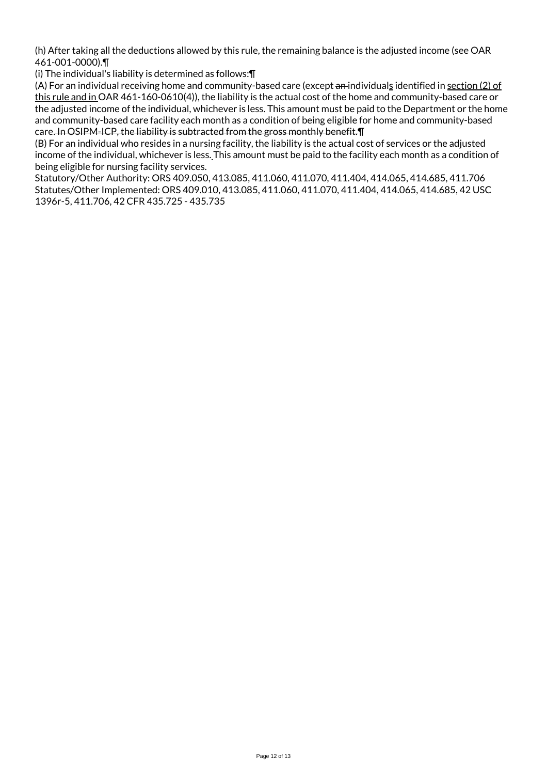(h) After taking all the deductions allowed by this rule, the remaining balance is the adjusted income (see OAR 461-001-0000).¶

(i) The individual's liability is determined as follows:¶

(A) For an individual receiving home and community-based care (except an individuals identified in section (2) of this rule and in OAR 461-160-0610(4)), the liability is the actual cost of the home and community-based care or the adjusted income of the individual, whichever is less. This amount must be paid to the Department or the home and community-based care facility each month as a condition of being eligible for home and community-based care. In OSIPM-ICP, the liability is subtracted from the gross monthly benefit. I

(B) For an individual who resides in a nursing facility, the liability is the actual cost of services or the adjusted income of the individual, whichever is less. This amount must be paid to the facility each month as a condition of being eligible for nursing facility services.

Statutory/Other Authority: ORS 409.050, 413.085, 411.060, 411.070, 411.404, 414.065, 414.685, 411.706 Statutes/Other Implemented: ORS 409.010, 413.085, 411.060, 411.070, 411.404, 414.065, 414.685, 42 USC 1396r-5, 411.706, 42 CFR 435.725 - 435.735